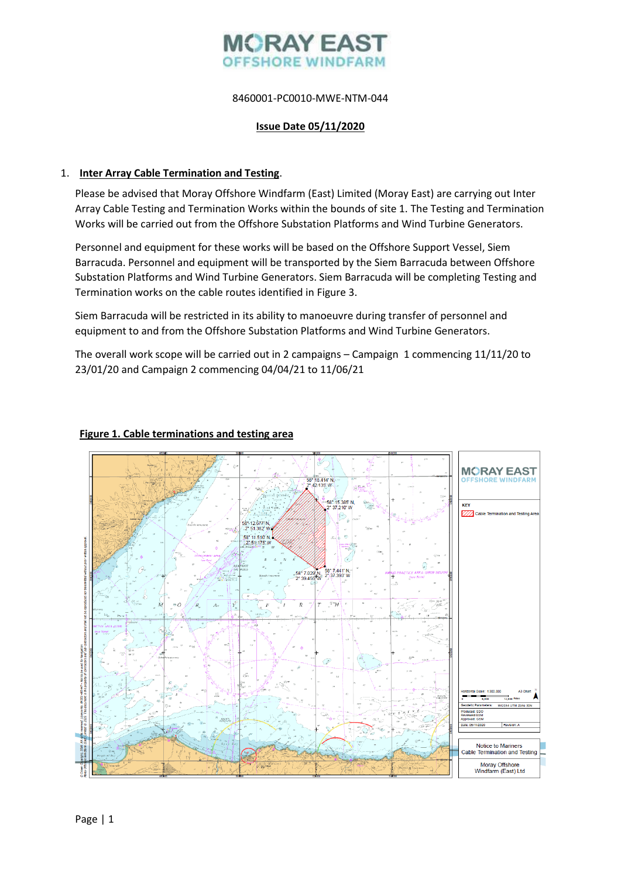# **MORAY EAS OFFSHORE WINDF**

# 8460001-PC0010-MWE-NTM-044

### **Issue Date 05/11/2020**

# 1. **Inter Array Cable Termination and Testing**.

Please be advised that Moray Offshore Windfarm (East) Limited (Moray East) are carrying out Inter Array Cable Testing and Termination Works within the bounds of site 1. The Testing and Termination Works will be carried out from the Offshore Substation Platforms and Wind Turbine Generators.

Personnel and equipment for these works will be based on the Offshore Support Vessel, Siem Barracuda. Personnel and equipment will be transported by the Siem Barracuda between Offshore Substation Platforms and Wind Turbine Generators. Siem Barracuda will be completing Testing and Termination works on the cable routes identified in Figure 3.

Siem Barracuda will be restricted in its ability to manoeuvre during transfer of personnel and equipment to and from the Offshore Substation Platforms and Wind Turbine Generators.

The overall work scope will be carried out in 2 campaigns – Campaign 1 commencing 11/11/20 to 23/01/20 and Campaign 2 commencing 04/04/21 to 11/06/21

# **MORAY EAST** \* 18.414' N **KEY** 37 210 V  $\sqrt{77}$  Cable T 58° 12.677 N<br>2° 51.382 W 58° 11.510' N 58° 7.029' N.<br>2° 39.455 W 58° 7.441' N<br>2° 37.393' W  $\mathcal{H}^{\mathrm{an}}$ Notice to Mariners<br>Cable Termination and Testing Moray Offshore<br>Windfarm (East) Ltd

### **Figure 1. Cable terminations and testing area**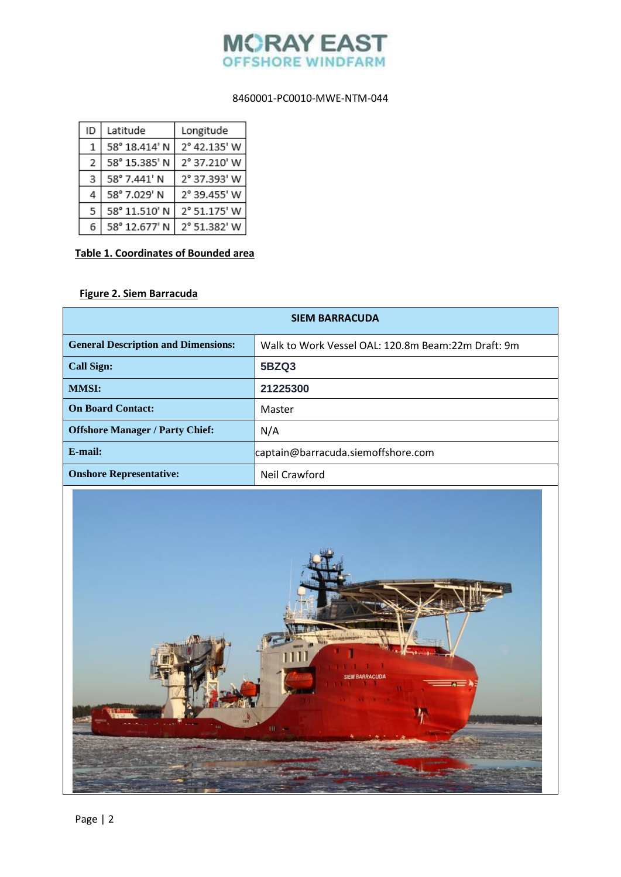

# 8460001-PC0010-MWE-NTM-044

| ID | Latitude      | Longitude    |
|----|---------------|--------------|
| 1  | 58° 18.414' N | 2° 42.135' W |
| 2  | 58° 15.385' N | 2° 37.210' W |
| 3  | 58° 7.441' N  | 2° 37.393' W |
| 4  | 58° 7.029' N  | 2° 39.455' W |
| 5  | 58° 11.510' N | 2° 51.175' W |
| 6  | 58° 12.677' N | 2° 51.382' W |

# **Table 1. Coordinates of Bounded area**

# **Figure 2. Siem Barracuda**

| <b>SIEM BARRACUDA</b>                      |                                                    |  |  |
|--------------------------------------------|----------------------------------------------------|--|--|
| <b>General Description and Dimensions:</b> | Walk to Work Vessel OAL: 120.8m Beam:22m Draft: 9m |  |  |
| <b>Call Sign:</b>                          | <b>5BZQ3</b>                                       |  |  |
| <b>MMSI:</b>                               | 21225300                                           |  |  |
| <b>On Board Contact:</b>                   | Master                                             |  |  |
| <b>Offshore Manager / Party Chief:</b>     | N/A                                                |  |  |
| E-mail:                                    | captain@barracuda.siemoffshore.com                 |  |  |
| <b>Onshore Representative:</b>             | Neil Crawford                                      |  |  |
| ш                                          |                                                    |  |  |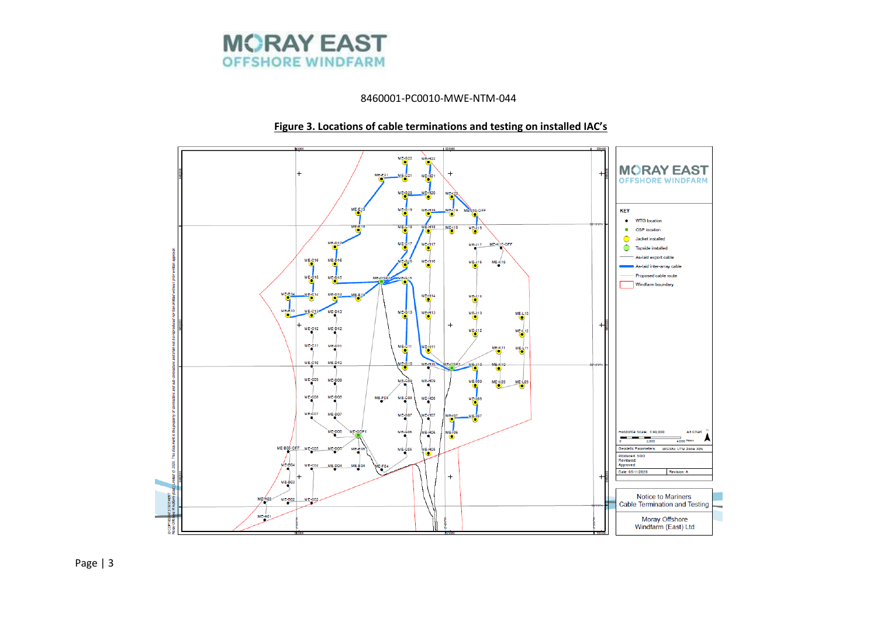

8460001-PC0010-MWE-NTM-044

# **Figure 3. Locations of cable terminations and testing on installed IAC's**